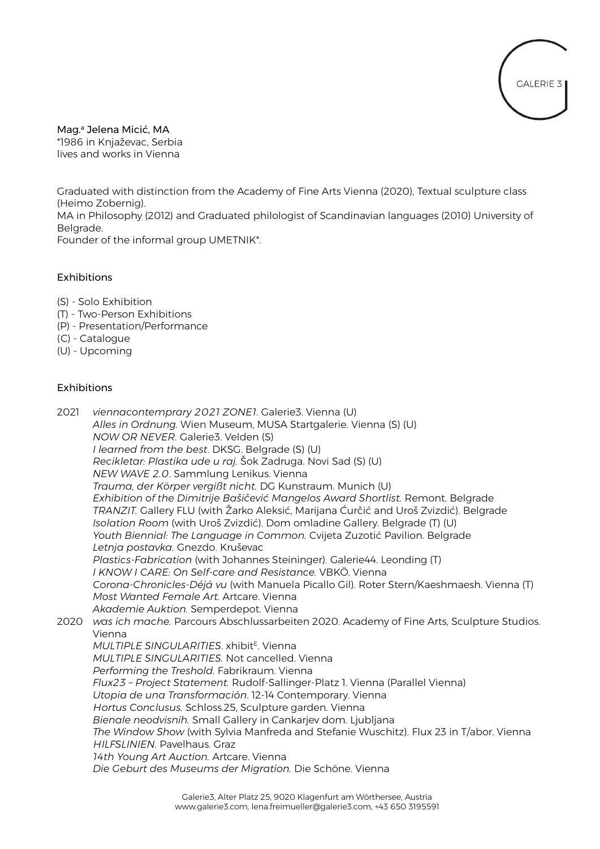

Mag.<sup>a</sup> Jelena Micić, MA \*1986 in Knjaževac, Serbia lives and works in Vienna

Graduated with distinction from the Academy of Fine Arts Vienna (2020), Textual sculpture class (Heimo Zobernig). MA in Philosophy (2012) and Graduated philologist of Scandinavian languages (2010) University of Belgrade. Founder of the informal group UMETNIK\*.

# Exhibitions

- (S) Solo Exhibition
- (T) Two-Person Exhibitions
- (P) Presentation/Performance
- (C) Catalogue
- (U) Upcoming

# Exhibitions

2021 *viennacontemprary 2021 ZONE1*. Galerie3. Vienna (U) *Alles in Ordnung.* Wien Museum, MUSA Startgalerie. Vienna (S) (U) *NOW OR NEVER.* Galerie3. Velden (S) *I learned from the best*. DKSG. Belgrade (S) (U) *Recikletar: Plastika ude u raj.* Šok Zadruga. Novi Sad (S) (U) *NEW WAVE 2.0*. Sammlung Lenikus. Vienna *Trauma, der Körper vergißt nicht.* DG Kunstraum. Munich (U) *Exhibition of the Dimitrije Bašičević Mangelos Award Shortlist.* Remont. Belgrade *TRANZIT.* Gallery FLU (with Žarko Aleksić, Marijana Ćurčić and Uroš Zvizdić). Belgrade *Isolation Room* (with Uroš Zvizdić). Dom omladine Gallery. Belgrade (T) (U) *Youth Biennial: The Language in Common.* Cvijeta Zuzotić Pavilion. Belgrade *Letnja postavka.* Gnezdo. Kruševac *Plastics-Fabrication* (with Johannes Steininger). Galerie44. Leonding (T) *I KNOW I CARE: On Self-care and Resistance.* VBKÖ. Vienna *Corona-Chronicles-Déjá vu* (with Manuela Picallo Gil). Roter Stern/Kaeshmaesh. Vienna (T) *Most Wanted Female Art.* Artcare. Vienna *Akademie Auktion.* Semperdepot. Vienna 2020 *was ich mache.* Parcours Abschlussarbeiten 2020. Academy of Fine Arts, Sculpture Studios. Vienna *MULTIPLE SINGULARITIES*. xhibit<sup>E</sup> . Vienna *MULTIPLE SINGULARITIES.* Not cancelled. Vienna *Performing the Treshold.* Fabrikraum. Vienna *Flux23 – Project Statement.* Rudolf-Sallinger-Platz 1. Vienna (Parallel Vienna) *Utopia de una Transformación*. 12-14 Contemporary. Vienna *Hortus Conclusus.* Schloss.25, Sculpture garden. Vienna *Bienale neodvisnih.* Small Gallery in Cankarjev dom. Ljubljana *The Window Show* (with Sylvia Manfreda and Stefanie Wuschitz). Flux 23 in T/abor. Vienna *HILFSLINIEN.* Pavelhaus. Graz *14th Young Art Auction.* Artcare. Vienna *Die Geburt des Museums der Migration.* Die Schöne. Vienna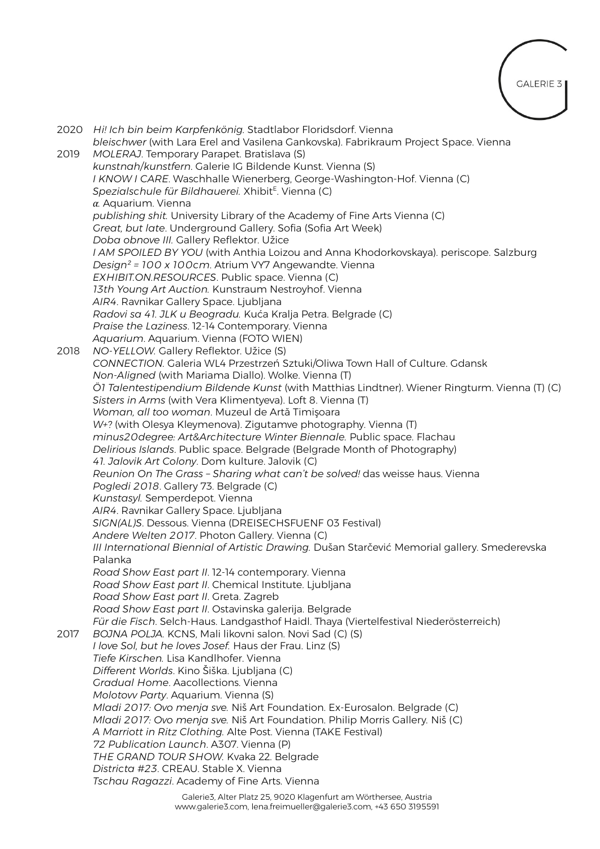

|      | 2020 Hi! Ich bin beim Karpfenkönig. Stadtlabor Floridsdorf. Vienna<br>bleischwer (with Lara Erel and Vasilena Gankovska). Fabrikraum Project Space. Vienna |
|------|------------------------------------------------------------------------------------------------------------------------------------------------------------|
| 2019 | MOLERAJ. Temporary Parapet. Bratislava (S)                                                                                                                 |
|      | kunstnah/kunstfern. Galerie IG Bildende Kunst. Vienna (S)                                                                                                  |
|      | I KNOW I CARE. Waschhalle Wienerberg, George-Washington-Hof. Vienna (C)                                                                                    |
|      | Spezialschule für Bildhauerei. Xhibit <sup>E</sup> . Vienna (C)                                                                                            |
|      | $\alpha$ . Aquarium. Vienna                                                                                                                                |
|      | publishing shit. University Library of the Academy of Fine Arts Vienna (C)                                                                                 |
|      | Great, but late. Underground Gallery. Sofia (Sofia Art Week)                                                                                               |
|      | Doba obnove III. Gallery Reflektor. Užice                                                                                                                  |
|      | I AM SPOILED BY YOU (with Anthia Loizou and Anna Khodorkovskaya). periscope. Salzburg                                                                      |
|      | Design <sup>2</sup> = 100 x 100cm. Atrium VY7 Angewandte. Vienna<br>EXHIBIT.ON.RESOURCES. Public space. Vienna (C)                                         |
|      | 13th Young Art Auction. Kunstraum Nestroyhof. Vienna                                                                                                       |
|      | AIR4. Ravnikar Gallery Space. Ljubljana                                                                                                                    |
|      | Radovi sa 41. JLK u Beogradu. Kuća Kralja Petra. Belgrade (C)                                                                                              |
|      | Praise the Laziness. 12-14 Contemporary. Vienna                                                                                                            |
|      | Aquarium. Aquarium. Vienna (FOTO WIEN)                                                                                                                     |
| 2018 | NO-YELLOW. Gallery Reflektor. Užice (S)                                                                                                                    |
|      | CONNECTION. Galeria WL4 Przestrzeń Sztuki/Oliwa Town Hall of Culture. Gdansk                                                                               |
|      | Non-Aligned (with Mariama Diallo). Wolke. Vienna (T)                                                                                                       |
|      | ÖI Talentestipendium Bildende Kunst (with Matthias Lindtner). Wiener Ringturm. Vienna (T) (C)                                                              |
|      | Sisters in Arms (with Vera Klimentyeva). Loft 8. Vienna (T)                                                                                                |
|      | Woman, all too woman. Muzeul de Artă Timișoara                                                                                                             |
|      | W+? (with Olesya Kleymenova). Zigutamve photography. Vienna (T)                                                                                            |
|      | minus20degree: Art&Architecture Winter Biennale. Public space. Flachau                                                                                     |
|      | Delirious Islands. Public space. Belgrade (Belgrade Month of Photography)                                                                                  |
|      | 41. Jalovik Art Colony. Dom kulture. Jalovik (C)                                                                                                           |
|      | Reunion On The Grass - Sharing what can't be solved! das weisse haus. Vienna                                                                               |
|      | Pogledi 2018. Gallery 73. Belgrade (C)                                                                                                                     |
|      | Kunstasyl. Semperdepot. Vienna                                                                                                                             |
|      | AIR4. Ravnikar Gallery Space. Ljubljana                                                                                                                    |
|      | SIGN(AL)S. Dessous. Vienna (DREISECHSFUENF 03 Festival)                                                                                                    |
|      | Andere Welten 2017. Photon Gallery. Vienna (C)                                                                                                             |
|      | III International Biennial of Artistic Drawing. Dušan Starčević Memorial gallery. Smederevska<br>Palanka                                                   |
|      | Road Show East part II. 12-14 contemporary. Vienna                                                                                                         |
|      | Road Show East part II. Chemical Institute. Ljubljana                                                                                                      |
|      | Road Show East part II. Greta. Zagreb                                                                                                                      |
|      | Road Show East part II. Ostavinska galerija. Belgrade                                                                                                      |
|      | Für die Fisch. Selch-Haus. Landgasthof Haidl. Thaya (Viertelfestival Niederösterreich)                                                                     |
| 2017 | BOJNA POLJA. KCNS, Mali likovni salon. Novi Sad (C) (S)                                                                                                    |
|      | I love Sol, but he loves Josef. Haus der Frau. Linz (S)                                                                                                    |
|      | Tiefe Kirschen. Lisa Kandlhofer. Vienna                                                                                                                    |
|      | Different Worlds. Kino Šiška. Ljubljana (C)                                                                                                                |
|      | Gradual Home. Aacollections. Vienna                                                                                                                        |
|      | Molotow Party. Aquarium. Vienna (S)                                                                                                                        |
|      | Mladi 2017: Ovo menja sve. Niš Art Foundation. Ex-Eurosalon. Belgrade (C)                                                                                  |
|      | Mladi 2017: Ovo menja sve. Niš Art Foundation. Philip Morris Gallery. Niš (C)                                                                              |
|      | A Marriott in Ritz Clothing. Alte Post. Vienna (TAKE Festival)                                                                                             |
|      | 72 Publication Launch. A307. Vienna (P)                                                                                                                    |
|      | THE GRAND TOUR SHOW. Kvaka 22. Belgrade                                                                                                                    |
|      | Districta #23. CREAU. Stable X. Vienna                                                                                                                     |
|      | Tschau Ragazzi. Academy of Fine Arts. Vienna                                                                                                               |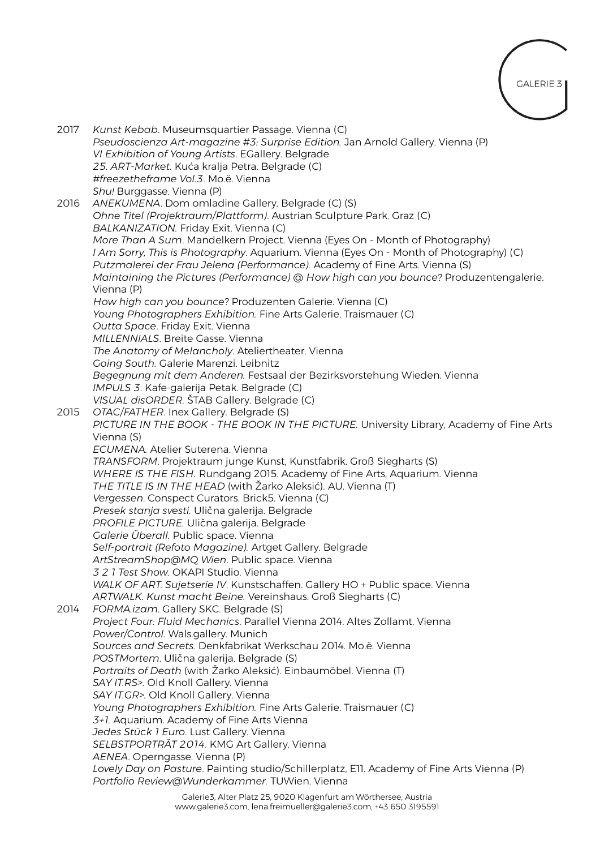

| 2017 | Kunst Kebab. Museumsquartier Passage. Vienna (C)<br>Pseudoscienza Art-magazine #3: Surprise Edition. Jan Arnold Gallery. Vienna (P)<br>VI Exhibition of Young Artists. EGallery. Belgrade<br>25. ART-Market. Kuća kralja Petra. Belgrade (C)                                                                                                   |
|------|------------------------------------------------------------------------------------------------------------------------------------------------------------------------------------------------------------------------------------------------------------------------------------------------------------------------------------------------|
|      | #freezetheframe Vol.3. Mo.ë. Vienna                                                                                                                                                                                                                                                                                                            |
|      | Shu! Burggasse. Vienna (P)                                                                                                                                                                                                                                                                                                                     |
| 2016 | ANEKUMENA. Dom omladine Gallery. Belgrade (C) (S)                                                                                                                                                                                                                                                                                              |
|      | Ohne Titel (Projektraum/Plattform). Austrian Sculpture Park. Graz (C)                                                                                                                                                                                                                                                                          |
|      | BALKANIZATION. Friday Exit. Vienna (C)                                                                                                                                                                                                                                                                                                         |
|      | More Than A Sum. Mandelkern Project. Vienna (Eyes On - Month of Photography)<br>I Am Sorry, This is Photography. Aquarium. Vienna (Eyes On - Month of Photography) (C)<br>Putzmalerei der Frau Jelena (Performance). Academy of Fine Arts. Vienna (S)<br>Maintaining the Pictures (Performance) @ How high can you bounce? Produzentengalerie. |
|      | Vienna (P)                                                                                                                                                                                                                                                                                                                                     |
|      | How high can you bounce? Produzenten Galerie. Vienna (C)                                                                                                                                                                                                                                                                                       |
|      | Young Photographers Exhibition. Fine Arts Galerie. Traismauer (C)                                                                                                                                                                                                                                                                              |
|      | Outta Space. Friday Exit. Vienna                                                                                                                                                                                                                                                                                                               |
|      | MILLENNIALS. Breite Gasse. Vienna                                                                                                                                                                                                                                                                                                              |
|      | The Anatomy of Melancholy. Ateliertheater. Vienna                                                                                                                                                                                                                                                                                              |
|      | Going South. Galerie Marenzi. Leibnitz                                                                                                                                                                                                                                                                                                         |
|      | Begegnung mit dem Anderen. Festsaal der Bezirksvorstehung Wieden. Vienna                                                                                                                                                                                                                                                                       |
|      | IMPULS 3. Kafe-galerija Petak. Belgrade (C)                                                                                                                                                                                                                                                                                                    |
|      | VISUAL disORDER. ŠTAB Gallery. Belgrade (C)                                                                                                                                                                                                                                                                                                    |
| 2015 | OTAC/FATHER. Inex Gallery. Belgrade (S)                                                                                                                                                                                                                                                                                                        |
|      | PICTURE IN THE BOOK - THE BOOK IN THE PICTURE. University Library, Academy of Fine Arts                                                                                                                                                                                                                                                        |
|      | Vienna (S)<br>ECUMENA. Atelier Suterena. Vienna                                                                                                                                                                                                                                                                                                |
|      | TRANSFORM. Projektraum junge Kunst, Kunstfabrik. Groß Siegharts (S)                                                                                                                                                                                                                                                                            |
|      | WHERE IS THE FISH. Rundgang 2015. Academy of Fine Arts, Aquarium. Vienna                                                                                                                                                                                                                                                                       |
|      | THE TITLE IS IN THE HEAD (with Žarko Aleksić). AU. Vienna (T)                                                                                                                                                                                                                                                                                  |
|      | Vergessen. Conspect Curators. Brick5. Vienna (C)                                                                                                                                                                                                                                                                                               |
|      | Presek stanja svesti. Ulična galerija. Belgrade                                                                                                                                                                                                                                                                                                |
|      | PROFILE PICTURE. Ulična galerija. Belgrade                                                                                                                                                                                                                                                                                                     |
|      | Galerie Überall. Public space. Vienna                                                                                                                                                                                                                                                                                                          |
|      | Self-portrait (Refoto Magazine). Artget Gallery. Belgrade                                                                                                                                                                                                                                                                                      |
|      | ArtStreamShop@MQ Wien. Public space. Vienna                                                                                                                                                                                                                                                                                                    |
|      | 3 2 1 Test Show. OKAPI Studio. Vienna                                                                                                                                                                                                                                                                                                          |
|      | WALK OF ART. Sujetserie IV. Kunstschaffen. Gallery HO + Public space. Vienna                                                                                                                                                                                                                                                                   |
|      | ARTWALK. Kunst macht Beine. Vereinshaus. Groß Siegharts (C)                                                                                                                                                                                                                                                                                    |
| 2014 | FORMA.izam. Gallery SKC. Belgrade (S)                                                                                                                                                                                                                                                                                                          |
|      | Project Four: Fluid Mechanics. Parallel Vienna 2014. Altes Zollamt. Vienna<br>Power/Control. Wals.gallery. Munich                                                                                                                                                                                                                              |
|      | Sources and Secrets. Denkfabrikat Werkschau 2014. Mo.ë. Vienna                                                                                                                                                                                                                                                                                 |
|      | POSTMortem. Ulična galerija. Belgrade (S)                                                                                                                                                                                                                                                                                                      |
|      | Portraits of Death (with Žarko Aleksić). Einbaumöbel. Vienna (T)                                                                                                                                                                                                                                                                               |
|      | SAY IT.RS>. Old Knoll Gallery. Vienna                                                                                                                                                                                                                                                                                                          |
|      | SAY IT.GR>. Old Knoll Gallery. Vienna                                                                                                                                                                                                                                                                                                          |
|      | Young Photographers Exhibition. Fine Arts Galerie. Traismauer (C)                                                                                                                                                                                                                                                                              |
|      | 3+1. Aquarium. Academy of Fine Arts Vienna                                                                                                                                                                                                                                                                                                     |
|      | Jedes Stück 1 Euro. Lust Gallery. Vienna                                                                                                                                                                                                                                                                                                       |
|      | SELBSTPORTRÄT 2014. KMG Art Gallery. Vienna                                                                                                                                                                                                                                                                                                    |
|      | AENEA. Operngasse. Vienna (P)                                                                                                                                                                                                                                                                                                                  |
|      | Lovely Day on Pasture. Painting studio/Schillerplatz, E11. Academy of Fine Arts Vienna (P)<br>Portfolio Review@Wunderkammer. TUWien. Vienna                                                                                                                                                                                                    |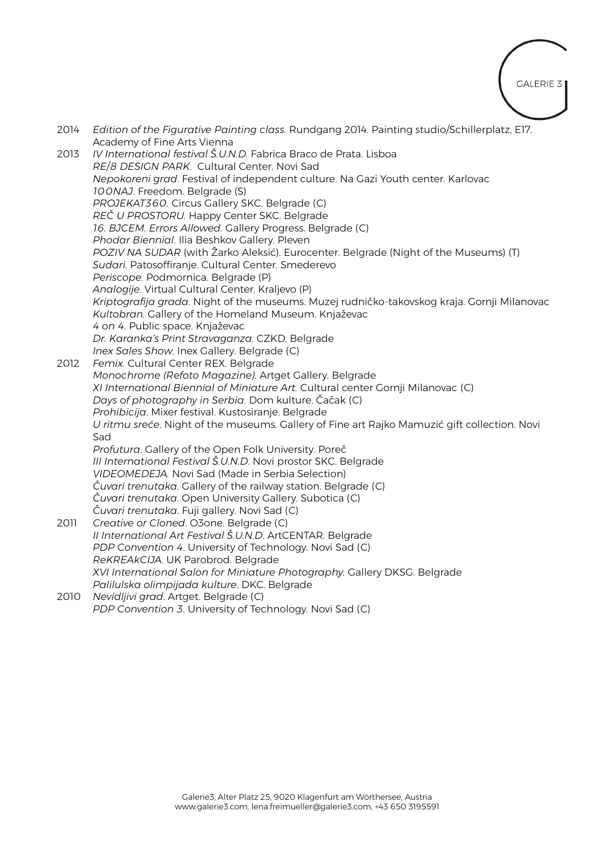**GALERIE 3** 

2014 *Edition of the Figurative Painting class.* Rundgang 2014. Painting studio/Schillerplatz, E17. Academy of Fine Arts Vienna 2013 *IV International festival Š.U.N.D.* Fabrica Braco de Prata. Lisboa *RE/8 DESIGN PARK*. Cultural Center. Novi Sad *Nepokoreni grad*. Festival of independent culture. Na Gazi Youth center. Karlovac *100NAJ*. Freedom. Belgrade (S) *PROJEKAT360.* Circus Gallery SKC. Belgrade (C) *REČ U PROSTORU.* Happy Center SKC. Belgrade *16. BJCEM. Errors Allowed.* Gallery Progress. Belgrade (C) *Phodar Biennial*. Ilia Beshkov Gallery. Pleven *POZIV NA SUDAR* (with Žarko Aleksić). Eurocenter. Belgrade (Night of the Museums) (T) *Sudari*. Patosoffiranje. Cultural Center. Smederevo *Periscope.* Podmornica. Belgrade (P) *Analogije*. Virtual Cultural Center. Kraljevo (P) *Kriptografija grada*. Night of the museums. Muzej rudničko-takovskog kraja. Gornji Milanovac *Kultobran.* Gallery of the Homeland Museum. Knjaževac *4 on 4*. Public space. Knjaževac *Dr. Karanka's Print Stravaganza*. CZKD. Belgrade *Inex Sales Show*. Inex Gallery. Belgrade (C) 2012 *Femix.* Cultural Center REX. Belgrade *Monochrome (Refoto Magazine).* Artget Gallery. Belgrade *XI International Biennial of Miniature Art.* Cultural center Gornji Milanovac (C) *Days of photography in Serbia*. Dom kulture. Čačak (C) *Prohibicija*. Mixer festival. Kustosiranje. Belgrade *U ritmu sreće*. Night of the museums. Gallery of Fine art Rajko Mamuzić gift collection. Novi Sad *Profutura*. Gallery of the Open Folk University. Poreč *III International Festival Š.U.N.D*. Novi prostor SKC. Belgrade *VIDEOMEDEJA.* Novi Sad (Made in Serbia Selection) *Čuvari trenutaka*. Gallery of the railway station. Belgrade (C) *Čuvari trenutaka*. Open University Gallery. Subotica (C) *Čuvari trenutaka*. Fuji gallery. Novi Sad (C) 2011 *Creative or Cloned*. O3one. Belgrade (C) *II International Art Festival Š.U.N.D*. ArtCENTAR. Belgrade *PDP Convention 4*. University of Technology. Novi Sad (C) *ReKREAkCIJA*. UK Parobrod. Belgrade *XVI International Salon for Miniature Photography.* Gallery DKSG. Belgrade *Palilulska olimpijada kulture*. DKC. Belgrade 2010 *Nevidljivi grad*. Artget. Belgrade (C) *PDP Convention 3*. University of Technology. Novi Sad (C)